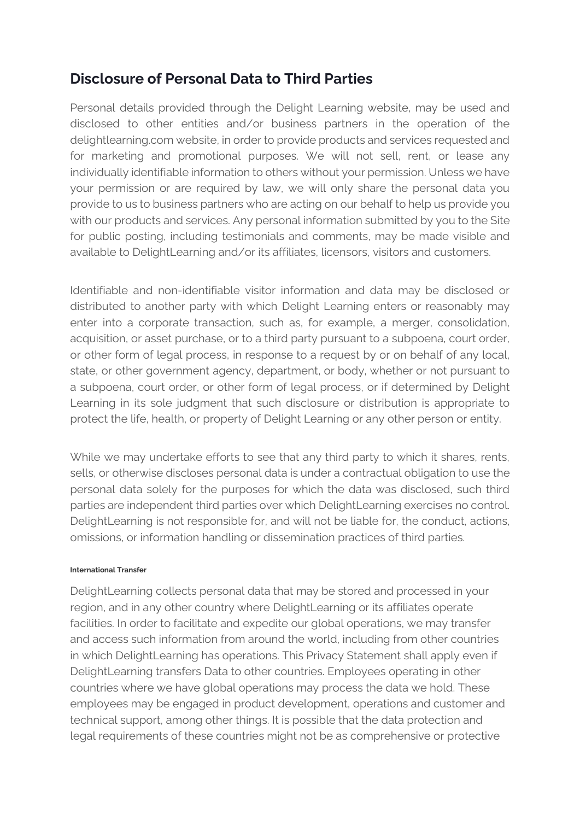## **Disclosure of Personal Data to Third Parties**

Personal details provided through the Delight Learning website, may be used and disclosed to other entities and/or business partners in the operation of the delightlearning.com website, in order to provide products and services requested and for marketing and promotional purposes. We will not sell, rent, or lease any individually identifiable information to others without your permission. Unless we have your permission or are required by law, we will only share the personal data you provide to us to business partners who are acting on our behalf to help us provide you with our products and services. Any personal information submitted by you to the Site for public posting, including testimonials and comments, may be made visible and available to DelightLearning and/or its affiliates, licensors, visitors and customers.

Identifiable and non-identifiable visitor information and data may be disclosed or distributed to another party with which Delight Learning enters or reasonably may enter into a corporate transaction, such as, for example, a merger, consolidation, acquisition, or asset purchase, or to a third party pursuant to a subpoena, court order, or other form of legal process, in response to a request by or on behalf of any local, state, or other government agency, department, or body, whether or not pursuant to a subpoena, court order, or other form of legal process, or if determined by Delight Learning in its sole judgment that such disclosure or distribution is appropriate to protect the life, health, or property of Delight Learning or any other person or entity.

While we may undertake efforts to see that any third party to which it shares, rents, sells, or otherwise discloses personal data is under a contractual obligation to use the personal data solely for the purposes for which the data was disclosed, such third parties are independent third parties over which DelightLearning exercises no control. DelightLearning is not responsible for, and will not be liable for, the conduct, actions, omissions, or information handling or dissemination practices of third parties.

#### **International Transfer**

DelightLearning collects personal data that may be stored and processed in your region, and in any other country where DelightLearning or its affiliates operate facilities. In order to facilitate and expedite our global operations, we may transfer and access such information from around the world, including from other countries in which DelightLearning has operations. This Privacy Statement shall apply even if DelightLearning transfers Data to other countries. Employees operating in other countries where we have global operations may process the data we hold. These employees may be engaged in product development, operations and customer and technical support, among other things. It is possible that the data protection and legal requirements of these countries might not be as comprehensive or protective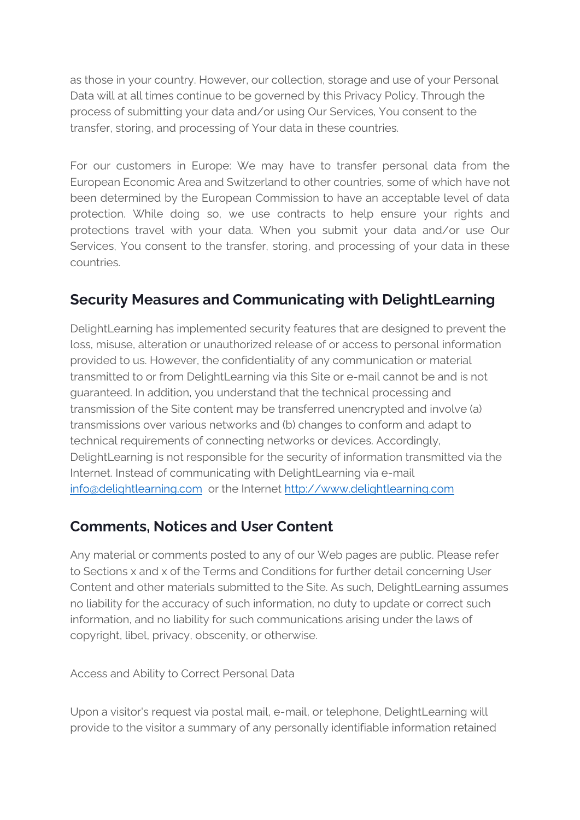as those in your country. However, our collection, storage and use of your Personal Data will at all times continue to be governed by this Privacy Policy. Through the process of submitting your data and/or using Our Services, You consent to the transfer, storing, and processing of Your data in these countries.

For our customers in Europe: We may have to transfer personal data from the European Economic Area and Switzerland to other countries, some of which have not been determined by the European Commission to have an acceptable level of data protection. While doing so, we use contracts to help ensure your rights and protections travel with your data. When you submit your data and/or use Our Services, You consent to the transfer, storing, and processing of your data in these countries.

## **Security Measures and Communicating with DelightLearning**

DelightLearning has implemented security features that are designed to prevent the loss, misuse, alteration or unauthorized release of or access to personal information provided to us. However, the confidentiality of any communication or material transmitted to or from DelightLearning via this Site or e-mail cannot be and is not guaranteed. In addition, you understand that the technical processing and transmission of the Site content may be transferred unencrypted and involve (a) transmissions over various networks and (b) changes to conform and adapt to technical requirements of connecting networks or devices. Accordingly, DelightLearning is not responsible for the security of information transmitted via the Internet. Instead of communicating with DelightLearning via e-mail [info@delightlearning.com](mailto:info@delightlearning.com) or the Internet [http://www.delightlearning.com](http://www.delightlearning.com/)

## **Comments, Notices and User Content**

Any material or comments posted to any of our Web pages are public. Please refer to Sections x and x of the Terms and Conditions for further detail concerning User Content and other materials submitted to the Site. As such, DelightLearning assumes no liability for the accuracy of such information, no duty to update or correct such information, and no liability for such communications arising under the laws of copyright, libel, privacy, obscenity, or otherwise.

Access and Ability to Correct Personal Data

Upon a visitor's request via postal mail, e-mail, or telephone, DelightLearning will provide to the visitor a summary of any personally identifiable information retained